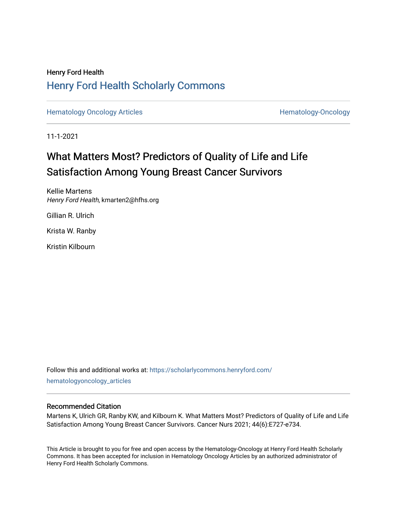# Henry Ford Health [Henry Ford Health Scholarly Commons](https://scholarlycommons.henryford.com/)

[Hematology Oncology Articles](https://scholarlycommons.henryford.com/hematologyoncology_articles) **Hematology-Oncology** 

11-1-2021

# What Matters Most? Predictors of Quality of Life and Life Satisfaction Among Young Breast Cancer Survivors

Kellie Martens Henry Ford Health, kmarten2@hfhs.org

Gillian R. Ulrich

Krista W. Ranby

Kristin Kilbourn

Follow this and additional works at: [https://scholarlycommons.henryford.com/](https://scholarlycommons.henryford.com/hematologyoncology_articles?utm_source=scholarlycommons.henryford.com%2Fhematologyoncology_articles%2F214&utm_medium=PDF&utm_campaign=PDFCoverPages) [hematologyoncology\\_articles](https://scholarlycommons.henryford.com/hematologyoncology_articles?utm_source=scholarlycommons.henryford.com%2Fhematologyoncology_articles%2F214&utm_medium=PDF&utm_campaign=PDFCoverPages)

# Recommended Citation

Martens K, Ulrich GR, Ranby KW, and Kilbourn K. What Matters Most? Predictors of Quality of Life and Life Satisfaction Among Young Breast Cancer Survivors. Cancer Nurs 2021; 44(6):E727-e734.

This Article is brought to you for free and open access by the Hematology-Oncology at Henry Ford Health Scholarly Commons. It has been accepted for inclusion in Hematology Oncology Articles by an authorized administrator of Henry Ford Health Scholarly Commons.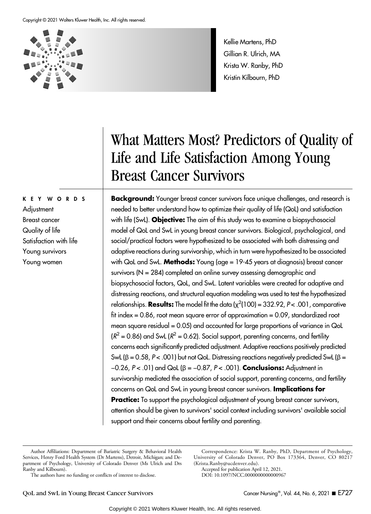#### Copyright © 2021 Wolters Kluwer Health, Inc. All rights reserved.



KEY WORDS

Satisfaction with life Young survivors Young women

**Adjustment** Breast cancer Quality of life Kellie Martens, PhD Gillian R. Ulrich, MA Krista W. Ranby, PhD Kristin Kilbourn, PhD

# What Matters Most? Predictors of Quality of Life and Life Satisfaction Among Young Breast Cancer Survivors

**Background:** Younger breast cancer survivors face unique challenges, and research is needed to better understand how to optimize their quality of life (QoL) and satisfaction with life (SwL). Objective: The aim of this study was to examine a biopsychosocial model of QoL and SwL in young breast cancer survivors. Biological, psychological, and social/practical factors were hypothesized to be associated with both distressing and adaptive reactions during survivorship, which in turn were hypothesized to be associated with QoL and SwL. Methods: Young (age = 19-45 years at diagnosis) breast cancer survivors (N = 284) completed an online survey assessing demographic and biopsychosocial factors, QoL, and SwL. Latent variables were created for adaptive and distressing reactions, and structural equation modeling was used to test the hypothesized relationships. **Results:** The model fit the data ( $\chi^2(100)$  = 332.92, P< .001, comparative fit index = 0.86, root mean square error of approximation = 0.09, standardized root mean square residual = 0.05) and accounted for large proportions of variance in QoL  $(R^2 = 0.86)$  and SwL ( $R^2 = 0.62$ ). Social support, parenting concerns, and fertility concerns each significantly predicted adjustment. Adaptive reactions positively predicted SwL ( $β = 0.58$ ,  $P < .001$ ) but not QoL. Distressing reactions negatively predicted SwL ( $β =$ −0.26, P < .01) and QoL (β = −0.87, P < .001). Conclusions: Adjustment in survivorship mediated the association of social support, parenting concerns, and fertility concerns on QoL and SwL in young breast cancer survivors. Implications for **Practice:** To support the psychological adjustment of young breast cancer survivors, attention should be given to survivors' social context including survivors' available social support and their concerns about fertility and parenting.

Correspondence: Krista W. Ranby, PhD, Department of Psychology, University of Colorado Denver, PO Box 173364, Denver, CO 80217 (Krista.Ranby@ucdenver.edu).

Accepted for publication April 12, 2021. DOI: 10.1097/NCC.0000000000000967

Author Affiliations: Department of Bariatric Surgery & Behavioral Health Services, Henry Ford Health System (Dr Martens), Detroit, Michigan; and Department of Psychology, University of Colorado Denver (Ms Ulrich and Drs Ranby and Kilbourn).

The authors have no funding or conflicts of interest to disclose.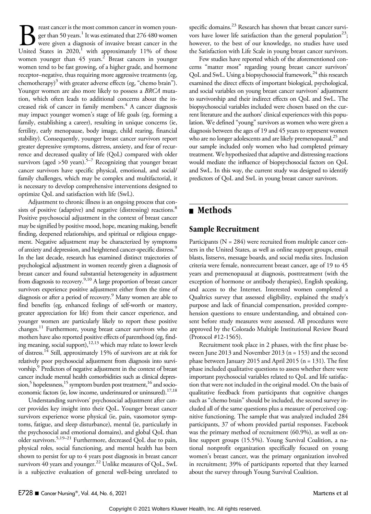**Breast cancer is the most common cancer in women youn-** ger than 50 years.<sup>1</sup> It was estimated that 276 480 women were given a diagnosis of invasive breast cancer in the United States in 2020,<sup>1</sup> with approximately 11% of ger than 50 years.<sup>1</sup> It was estimated that 276 480 women were given a diagnosis of invasive breast cancer in the women younger than  $45$  years.<sup>2</sup> Breast cancers in younger women tend to be fast growing, of a higher grade, and hormone receptor–negative, thus requiring more aggressive treatments (eg, chemotherapy) $3$  with greater adverse effects (eg, "chemo brain"). Younger women are also more likely to possess a BRCA mutation, which often leads to additional concerns about the increased risk of cancer in family members.<sup>4</sup> A cancer diagnosis may impact younger women's stage of life goals (eg, forming a family, establishing a career), resulting in unique concerns (ie, fertility, early menopause, body image, child rearing, financial stability). Consequently, younger breast cancer survivors report greater depressive symptoms, distress, anxiety, and fear of recurrence and decreased quality of life (QoL) compared with older survivors (aged >50 years).<sup>5–7</sup> Recognizing that younger breast cancer survivors have specific physical, emotional, and social/ family challenges, which may be complex and multifactorial, it is necessary to develop comprehensive interventions designed to optimize QoL and satisfaction with life (SwL).

Adjustment to chronic illness is an ongoing process that consists of positive (adaptive) and negative (distressing) reactions.<sup>8</sup> Positive psychosocial adjustment in the context of breast cancer may be signified by positive mood, hope, meaning making, benefit finding, deepened relationships, and spiritual or religious engagement. Negative adjustment may be characterized by symptoms of anxiety and depression, and heightened cancer-specific distress.<sup>9</sup> In the last decade, research has examined distinct trajectories of psychological adjustment in women recently given a diagnosis of breast cancer and found substantial heterogeneity in adjustment from diagnosis to recovery.<sup>9,10</sup> A large proportion of breast cancer survivors experience positive adjustment either from the time of diagnosis or after a period of recovery.<sup>9</sup> Many women are able to find benefits (eg, enhanced feelings of self-worth or mastery, greater appreciation for life) from their cancer experience, and younger women are particularly likely to report these positive changes.<sup>11</sup> Furthermore, young breast cancer survivors who are mothers have also reported positive effects of parenthood (eg, finding meaning, social support),<sup>12,13</sup> which may relate to lower levels of distress.14 Still, approximately 15% of survivors are at risk for relatively poor psychosocial adjustment from diagnosis into survivorship.<sup>9</sup> Predictors of negative adjustment in the context of breast cancer include mental health comorbidities such as clinical depression,<sup>5</sup> hopelessness,<sup>15</sup> symptom burden post treatment,<sup>16</sup> and socioeconomic factors (ie, low income, underinsured or uninsured).<sup>17,18</sup>

Understanding survivors' psychosocial adjustment after cancer provides key insight into their QoL. Younger breast cancer survivors experience worse physical (ie, pain, vasomotor symptoms, fatigue, and sleep disturbance), mental (ie, particularly in the psychosocial and emotional domains), and global QoL than older survivors.<sup>5,19–21</sup> Furthermore, decreased QoL due to pain, physical roles, social functioning, and mental health has been shown to persist for up to 4 years post diagnosis in breast cancer survivors 40 years and younger.22 Unlike measures of QoL, SwL is a subjective evaluation of general well-being unrelated to specific domains.<sup>23</sup> Research has shown that breast cancer survivors have lower life satisfaction than the general population<sup>23</sup>; however, to the best of our knowledge, no studies have used the Satisfaction with Life Scale in young breast cancer survivors.

Few studies have reported which of the aforementioned concerns "matter most" regarding young breast cancer survivors' QoL and SwL. Using a biopsychosocial framework,<sup>24</sup> this research examined the direct effects of important biological, psychological, and social variables on young breast cancer survivors' adjustment to survivorship and their indirect effects on QoL and SwL. The biopsychosocial variables included were chosen based on the current literature and the authors' clinical experiences with this population. We defined "young" survivors as women who were given a diagnosis between the ages of 19 and 45 years to represent women who are no longer adolescents and are likely premenopausal,<sup>25</sup> and our sample included only women who had completed primary treatment. We hypothesized that adaptive and distressing reactions would mediate the influence of biopsychosocial factors on QoL and SwL. In this way, the current study was designed to identify predictors of QoL and SwL in young breast cancer survivors.

# ■ Methods

# Sample Recruitment

Participants (N = 284) were recruited from multiple cancer centers in the United States, as well as online support groups, email blasts, listservs, message boards, and social media sites. Inclusion criteria were female, nonrecurrent breast cancer, age of 19 to 45 years and premenopausal at diagnosis, posttreatment (with the exception of hormone or antibody therapies), English speaking, and access to the Internet. Interested women completed a Qualtrics survey that assessed eligibility, explained the study's purpose and lack of financial compensation, provided comprehension questions to ensure understanding, and obtained consent before study measures were assessed. All procedures were approved by the Colorado Multiple Institutional Review Board (Protocol #12-1565).

Recruitment took place in 2 phases, with the first phase between June 2013 and November 2013 (n = 153) and the second phase between January 2015 and April 2015 (n = 131). The first phase included qualitative questions to assess whether there were important psychosocial variables related to QoL and life satisfaction that were not included in the original model. On the basis of qualitative feedback from participants that cognitive changes such as "chemo brain" should be included, the second survey included all of the same questions plus a measure of perceived cognitive functioning. The sample that was analyzed included 284 participants, 37 of whom provided partial responses. Facebook was the primary method of recruitment (60.9%), as well as online support groups (15.5%). Young Survival Coalition, a national nonprofit organization specifically focused on young women's breast cancer, was the primary organization involved in recruitment; 39% of participants reported that they learned about the survey through Young Survival Coalition.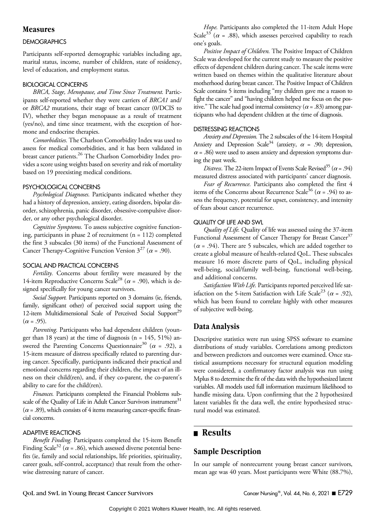### Measures

#### **DEMOGRAPHICS**

Participants self-reported demographic variables including age, marital status, income, number of children, state of residency, level of education, and employment status.

#### BIOLOGICAL CONCERNS

BRCA, Stage, Menopause, and Time Since Treatment. Participants self-reported whether they were carriers of BRCA1 and/ or BRCA2 mutations, their stage of breast cancer (0/DCIS to IV), whether they began menopause as a result of treatment (yes/no), and time since treatment, with the exception of hormone and endocrine therapies.

Comorbidities. The Charlson Comorbidity Index was used to assess for medical comorbidities, and it has been validated in breast cancer patients.<sup>26</sup> The Charlson Comorbidity Index provides a score using weights based on severity and risk of mortality based on 19 preexisting medical conditions.

#### PSYCHOLOGICAL CONCERNS

Psychological Diagnoses. Participants indicated whether they had a history of depression, anxiety, eating disorders, bipolar disorder, schizophrenia, panic disorder, obsessive-compulsive disorder, or any other psychological disorder.

Cognitive Symptoms. To assess subjective cognitive functioning, participants in phase 2 of recruitment (n = 112) completed the first 3 subscales (30 items) of the Functional Assessment of Cancer Therapy-Cognitive Function Version  $3^{27}$  ( $\alpha$  = .90).

#### SOCIAL AND PRACTICAL CONCERNS

Fertility. Concerns about fertility were measured by the 14-item Reproductive Concerns Scale<sup>28</sup> ( $\alpha$  = .90), which is designed specifically for young cancer survivors.

Social Support. Participants reported on 3 domains (ie, friends, family, significant other) of perceived social support using the 12-item Multidimensional Scale of Perceived Social Support<sup>29</sup>  $(\alpha = .95)$ .

Parenting. Participants who had dependent children (younger than 18 years) at the time of diagnosis ( $n = 145$ , 51%) answered the Parenting Concerns Questionnaire<sup>30</sup> ( $\alpha$  = .92), a 15-item measure of distress specifically related to parenting during cancer. Specifically, participants indicated their practical and emotional concerns regarding their children, the impact of an illness on their child(ren), and, if they co-parent, the co-parent's ability to care for the child(ren).

Finances. Participants completed the Financial Problems subscale of the Quality of Life in Adult Cancer Survivors instrument $31$  $(\alpha = .89)$ , which consists of 4 items measuring cancer-specific financial concerns.

#### ADAPTIVE REACTIONS

Benefit Finding. Participants completed the 15-item Benefit Finding Scale<sup>32</sup> ( $\alpha$  = .86), which assessed diverse potential benefits (ie, family and social relationships, life priorities, spirituality, career goals, self-control, acceptance) that result from the otherwise distressing nature of cancer.

Hope. Participants also completed the 11-item Adult Hope Scale<sup>33</sup> ( $\alpha$  = .88), which assesses perceived capability to reach one's goals.

Positive Impact of Children. The Positive Impact of Children Scale was developed for the current study to measure the positive effects of dependent children during cancer. The scale items were written based on themes within the qualitative literature about motherhood during breast cancer. The Positive Impact of Children Scale contains 5 items including "my children gave me a reason to fight the cancer" and "having children helped me focus on the positive." The scale had good internal consistency ( $\alpha$  = .83) among participants who had dependent children at the time of diagnosis.

#### DISTRESSING REACTIONS

Anxiety and Depression. The 2 subscales of the 14-item Hospital Anxiety and Depression Scale<sup>34</sup> (anxiety,  $\alpha$  = .90; depression,  $\alpha$  = .86) were used to assess anxiety and depression symptoms during the past week.

Distress. The 22-item Impact of Events Scale Revised<sup>35</sup> ( $\alpha$  = .94) measured distress associated with participants' cancer diagnosis.

Fear of Recurrence. Participants also completed the first 4 items of the Concerns about Recurrence Scale<sup>36</sup> ( $\alpha$  = .94) to assess the frequency, potential for upset, consistency, and intensity of fears about cancer recurrence.

#### QUALITY OF LIFE AND SWL

Quality of Life. Quality of life was assessed using the 37-item Functional Assessment of Cancer Therapy for Breast Cancer<sup>37</sup>  $(\alpha = .94)$ . There are 5 subscales, which are added together to create a global measure of health-related QoL. These subscales measure 16 more discrete parts of QoL, including physical well-being, social/family well-being, functional well-being, and additional concerns.

Satisfaction With Life. Participants reported perceived life satisfaction on the 5-item Satisfaction with Life Scale<sup>23</sup> ( $\alpha$  = .92), which has been found to correlate highly with other measures of subjective well-being.

# Data Analysis

Descriptive statistics were run using SPSS software to examine distributions of study variables. Correlations among predictors and between predictors and outcomes were examined. Once statistical assumptions necessary for structural equation modeling were considered, a confirmatory factor analysis was run using Mplus 8 to determine the fit of the data with the hypothesized latent variables. All models used full information maximum likelihood to handle missing data. Upon confirming that the 2 hypothesized latent variables fit the data well, the entire hypothesized structural model was estimated.

# **n** Results

# Sample Description

In our sample of nonrecurrent young breast cancer survivors, mean age was 40 years. Most participants were White (88.7%),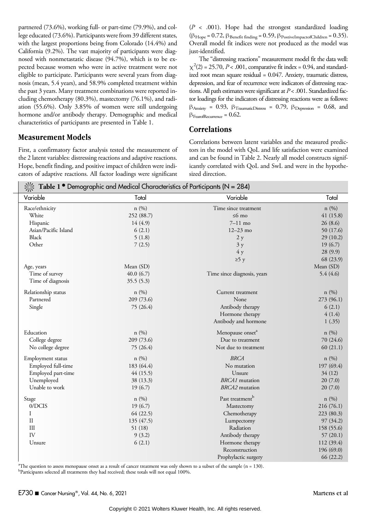partnered (73.6%), working full- or part-time (79.9%), and college educated (73.6%). Participants were from 39 different states, with the largest proportions being from Colorado (14.4%) and California (9.2%). The vast majority of participants were diagnosed with nonmetastatic disease (94.7%), which is to be expected because women who were in active treatment were not eligible to participate. Participants were several years from diagnosis (mean, 5.4 years), and 58.9% completed treatment within the past 3 years. Many treatment combinations were reported including chemotherapy (80.3%), mastectomy (76.1%), and radiation (55.6%). Only 3.85% of women were still undergoing hormone and/or antibody therapy. Demographic and medical characteristics of participants are presented in Table 1.

### Measurement Models

First, a confirmatory factor analysis tested the measurement of the 2 latent variables: distressing reactions and adaptive reactions. Hope, benefit finding, and positive impact of children were indicators of adaptive reactions. All factor loadings were significant  $(P < .001)$ . Hope had the strongest standardized loading  $(\beta_{\text{Hope}} = 0.72, \beta_{\text{Benefit finding}} = 0.59, \beta_{\text{PostiveImpactorChildren}} = 0.35).$ Overall model fit indices were not produced as the model was just-identified.

The "distressing reactions" measurement model fit the data well:  $\chi^2(2) = 25.70, P < .001$ , comparative fit index = 0.94, and standardized root mean square residual = 0.047. Anxiety, traumatic distress, depression, and fear of recurrence were indicators of distressing reactions. All path estimates were significant at  $P < .001$ . Standardized factor loadings for the indicators of distressing reactions were as follows:  $β_{\text{Anxiety}} = 0.93$ ,  $β_{\text{TraumaticDistress}} = 0.79$ ,  $β_{\text{Depression}} = 0.68$ , and  $\beta$ FearofRecurrence = 0.62.

# **Correlations**

Correlations between latent variables and the measured predictors in the model with QoL and life satisfaction were examined and can be found in Table 2. Nearly all model constructs significantly correlated with QoL and SwL and were in the hypothesized direction.

| Table 1 <sup><math>\bullet</math></sup> Demographic and Medical Characteristics of Participants (N = 284) |            |                              |            |  |
|-----------------------------------------------------------------------------------------------------------|------------|------------------------------|------------|--|
| Variable                                                                                                  | Total      | Variable                     | Total      |  |
| Race/ethnicity                                                                                            | n(%)       | Time since treatment         | n(%)       |  |
| White                                                                                                     | 252 (88.7) | $\leq 6$ mo                  | 41(15.8)   |  |
| Hispanic                                                                                                  | 14(4.9)    | $7-11$ mo                    | 26(8.6)    |  |
| Asian/Pacific Island                                                                                      | 6(2.1)     | $12 - 23$ mo                 | 50 (17.6)  |  |
| <b>Black</b>                                                                                              | 5(1.8)     | 2 y                          | 29(10.2)   |  |
| Other                                                                                                     | 7(2.5)     | 3y                           | 19(6.7)    |  |
|                                                                                                           |            | 4y                           | 28(9.9)    |  |
|                                                                                                           |            | $\geq$ 5 y                   | 68 (23.9)  |  |
| Age, years                                                                                                | Mean (SD)  |                              | Mean (SD)  |  |
| Time of survey                                                                                            | 40.0(6.7)  | Time since diagnosis, years  | 5.4(4.6)   |  |
| Time of diagnosis                                                                                         | 35.5(5.3)  |                              |            |  |
| Relationship status                                                                                       | n(%)       | Current treatment            | n(%)       |  |
| Partnered                                                                                                 | 209 (73.6) | None                         | 273 (96.1) |  |
| Single                                                                                                    | 75 (26.4)  | Antibody therapy             | 6(2.1)     |  |
|                                                                                                           |            | Hormone therapy              | 4(1.4)     |  |
|                                                                                                           |            | Antibody and hormone         | 1(.35)     |  |
| Education                                                                                                 | n(%)       | Menopause onset <sup>a</sup> | n(%)       |  |
| College degree                                                                                            | 209 (73.6) | Due to treatment             | 70 (24.6)  |  |
| No college degree                                                                                         | 75 (26.4)  | Not due to treatment         | 60(21.1)   |  |
| Employment status                                                                                         | n(%)       | <b>BRCA</b>                  | n(%)       |  |
| Employed full-time                                                                                        | 183 (64.4) | No mutation                  | 197 (69.4) |  |
| Employed part-time                                                                                        | 44(15.5)   | Unsure                       | 34(12)     |  |
| Unemployed                                                                                                | 38 (13.3)  | <b>BRCA1</b> mutation        | 20(7.0)    |  |
| Unable to work                                                                                            | 19(6.7)    | <b>BRCA2</b> mutation        | 20(7.0)    |  |
| Stage                                                                                                     | n (%)      | Past treatment <sup>b</sup>  | n(%)       |  |
| 0/DCIS                                                                                                    | 19(6.7)    | Mastectomy                   | 216 (76.1) |  |
| I                                                                                                         | 64 (22.5)  | Chemotherapy                 | 223 (80.3) |  |
| $\rm II$                                                                                                  | 135 (47.5) | Lumpectomy                   | 97(34.2)   |  |
| III                                                                                                       | 51(18)     | Radiation                    | 158 (55.6) |  |
| IV                                                                                                        | 9(3.2)     | Antibody therapy             | 57(20.1)   |  |
| Unsure                                                                                                    | 6(2.1)     | Hormone therapy              | 112 (39.4) |  |
|                                                                                                           |            | Reconstruction               | 196(69.0)  |  |
|                                                                                                           |            | Prophylactic surgery         | 66 (22.2)  |  |

a The question to assess menopause onset as a result of cancer treatment was only shown to a subset of the sample (n = 130). <sup>b</sup>Participants selected all treatments they had received; these totals will not equal 100%.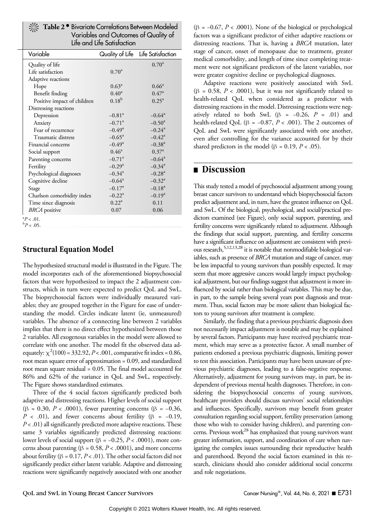|  | X: Table 2 <sup>.</sup> Bivariate Correlations Between Modeled |
|--|----------------------------------------------------------------|
|  | Variables and Outcomes of Quality of                           |
|  | Life and Life Satisfaction                                     |

| Variable                    |                      | Quality of Life Life Satisfaction |
|-----------------------------|----------------------|-----------------------------------|
| Quality of life             |                      | $0.70^{\rm a}$                    |
| Life satisfaction           | $0.70^{\rm a}$       |                                   |
| Adaptive reactions          |                      |                                   |
| Hope                        | $0.63^{\rm a}$       | $0.66^{\circ}$                    |
| Benefit finding             | $0.40^{\rm a}$       | $0.47^{\rm a}$                    |
| Positive impact of children | $0.18^{b}$           | $0.25^{\rm a}$                    |
| Distressing reactions       |                      |                                   |
| Depression                  | $-0.81$ <sup>a</sup> | $-0.64^{\circ}$                   |
| Anxiety                     | $-0.71$ <sup>a</sup> | $-0.50^{\rm a}$                   |
| Fear of recurrence          | $-0.49^{\rm a}$      | $-0.24$ <sup>a</sup>              |
| Traumatic distress          | $-0.65^{\rm a}$      | $-0.42^{\rm a}$                   |
| Financial concerns          | $-0.49^{\rm a}$      | $-0.38$ <sup>a</sup>              |
| Social support              | $0.46^a$             | $0.37^{\rm a}$                    |
| Parenting concerns          | $-0.71$ <sup>a</sup> | $-0.64^a$                         |
| Fertility                   | $-0.29$ <sup>a</sup> | $-0.34$ <sup>a</sup>              |
| Psychological diagnoses     | $-0.34$ <sup>a</sup> | $-0.28$ <sup>a</sup>              |
| Cognitive decline           | $-0.64^{\rm a}$      | $-0.32^{\rm a}$                   |
| Stage                       | $-0.17^{\rm a}$      | $-0.18^a$                         |
| Charlson comorbidity index  | $-0.22^{\rm a}$      | $-0.19^a$                         |
| Time since diagnosis        | $0.22^a$             | 0.11                              |
| <b>BRCA</b> positive        | 0.07                 | 0.06                              |
|                             |                      |                                   |

 ${}^{a}P < .01.$ <br>  ${}^{b}P > .05$  ${}^{b}P$  < .05.

# Structural Equation Model

The hypothesized structural model is illustrated in the Figure. The model incorporates each of the aforementioned biopsychosocial factors that were hypothesized to impact the 2 adjustment constructs, which in turn were expected to predict QoL and SwL. The biopsychosocial factors were individually measured variables; they are grouped together in the Figure for ease of understanding the model. Circles indicate latent (ie, unmeasured) variables. The absence of a connecting line between 2 variables implies that there is no direct effect hypothesized between those 2 variables. All exogenous variables in the model were allowed to correlate with one another. The model fit the observed data adequately:  $\chi^2(100) = 332.92$ ,  $P < .001$ , comparative fit index = 0.86, root mean square error of approximation = 0.09, and standardized root mean square residual = 0.05. The final model accounted for 86% and 62% of the variance in QoL and SwL, respectively. The Figure shows standardized estimates.

Three of the 4 social factors significantly predicted both adaptive and distressing reactions. Higher levels of social support (β = 0.30, P < .0001), fewer parenting concerns (β = −0.36,  $P$  < .01), and fewer concerns about fertility ( $\beta$  = -0.19,  $P < .01$ ) all significantly predicted more adaptive reactions. These same 3 variables significantly predicted distressing reactions: lower levels of social support (β =  $-0.25, P < .0001$ ), more concerns about parenting ( $\beta = 0.58$ ,  $P < .0001$ ), and more concerns about fertility ( $\beta = 0.17, P < .01$ ). The other social factors did not significantly predict either latent variable. Adaptive and distressing reactions were significantly negatively associated with one another

( $\beta$  = -0.67, P < .0001). None of the biological or psychological factors was a significant predictor of either adaptive reactions or distressing reactions. That is, having a BRCA mutation, later stage of cancer, onset of menopause due to treatment, greater medical comorbidity, and length of time since completing treatment were not significant predictors of the latent variables, nor were greater cognitive decline or psychological diagnoses.

Adaptive reactions were positively associated with SwL ( $\beta$  = 0.58,  $P < .0001$ ), but it was not significantly related to health-related QoL when considered as a predictor with distressing reactions in the model. Distressing reactions were negatively related to both SwL ( $\beta$  = -0.26,  $P$  = .01) and health-related QoL ( $\beta$  = -0.87, P < .001). The 2 outcomes of QoL and SwL were significantly associated with one another, even after controlling for the variance accounted for by their shared predictors in the model ( $\beta$  = 0.19,  $P$  < .05).

# **n** Discussion

This study tested a model of psychosocial adjustment among young breast cancer survivors to understand which biopsychosocial factors predict adjustment and, in turn, have the greatest influence on QoL and SwL. Of the biological, psychological, and social/practical predictors examined (see Figure), only social support, parenting, and fertility concerns were significantly related to adjustment. Although the findings that social support, parenting, and fertility concerns have a significant influence on adjustment are consistent with previous research,<sup>5,12,13,28</sup> it is notable that nonmodifiable biological variables, such as presence of BRCA mutation and stage of cancer, may be less impactful to young survivors than possibly expected. It may seem that more aggressive cancers would largely impact psychological adjustment, but our findings suggest that adjustment is more influenced by social rather than biological variables. This may be due, in part, to the sample being several years post diagnosis and treatment. Thus, social factors may be more salient than biological factors to young survivors after treatment is complete.

Similarly, the finding that a previous psychiatric diagnosis does not necessarily impact adjustment is notable and may be explained by several factors. Participants may have received psychiatric treatment, which may serve as a protective factor. A small number of patients endorsed a previous psychiatric diagnosis, limiting power to test this association. Participants may have been unaware of previous psychiatric diagnoses, leading to a false-negative response. Alternatively, adjustment for young survivors may, in part, be independent of previous mental health diagnoses. Therefore, in considering the biopsychosocial concerns of young survivors, healthcare providers should discuss survivors' social relationships and influences. Specifically, survivors may benefit from greater consultation regarding social support, fertility preservation (among those who wish to consider having children), and parenting concerns. Previous work $^{28}$  has emphasized that young survivors want greater information, support, and coordination of care when navigating the complex issues surrounding their reproductive health and parenthood. Beyond the social factors examined in this research, clinicians should also consider additional social concerns and role negotiations.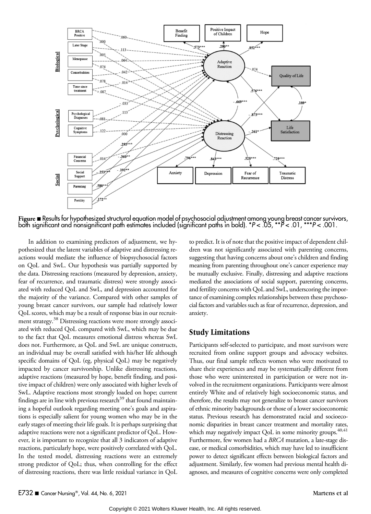

Figure **B** Results for hypothesized structural equation model of psychosocial adjustment among young breast cancer survivors,<br>both significant and nonsignificant path estimates included (significant paths in bold). \*P< .0

In addition to examining predictors of adjustment, we hypothesized that the latent variables of adaptive and distressing reactions would mediate the influence of biopsychosocial factors on QoL and SwL. Our hypothesis was partially supported by the data. Distressing reactions (measured by depression, anxiety, fear of recurrence, and traumatic distress) were strongly associated with reduced QoL and SwL, and depression accounted for the majority of the variance. Compared with other samples of young breast cancer survivors, our sample had relatively lower QoL scores, which may be a result of response bias in our recruitment strategy.<sup>38</sup> Distressing reactions were more strongly associated with reduced QoL compared with SwL, which may be due to the fact that QoL measures emotional distress whereas SwL does not. Furthermore, as QoL and SwL are unique constructs, an individual may be overall satisfied with his/her life although specific domains of QoL (eg, physical QoL) may be negatively impacted by cancer survivorship. Unlike distressing reactions, adaptive reactions (measured by hope, benefit finding, and positive impact of children) were only associated with higher levels of SwL. Adaptive reactions most strongly loaded on hope; current findings are in line with previous research<sup>39</sup> that found maintaining a hopeful outlook regarding meeting one's goals and aspirations is especially salient for young women who may be in the early stages of meeting their life goals. It is perhaps surprising that adaptive reactions were not a significant predictor of QoL. However, it is important to recognize that all 3 indicators of adaptive reactions, particularly hope, were positively correlated with QoL. In the tested model, distressing reactions were an extremely strong predictor of QoL; thus, when controlling for the effect of distressing reactions, there was little residual variance in QoL

to predict. It is of note that the positive impact of dependent children was not significantly associated with parenting concerns, suggesting that having concerns about one's children and finding meaning from parenting throughout one's cancer experience may be mutually exclusive. Finally, distressing and adaptive reactions mediated the associations of social support, parenting concerns, and fertility concerns with QoL and SwL, underscoring the importance of examining complex relationships between these psychosocial factors and variables such as fear of recurrence, depression, and anxiety.

# Study Limitations

Participants self-selected to participate, and most survivors were recruited from online support groups and advocacy websites. Thus, our final sample reflects women who were motivated to share their experiences and may be systematically different from those who were uninterested in participation or were not involved in the recruitment organizations. Participants were almost entirely White and of relatively high socioeconomic status, and therefore, the results may not generalize to breast cancer survivors of ethnic minority backgrounds or those of a lower socioeconomic status. Previous research has demonstrated racial and socioeconomic disparities in breast cancer treatment and mortality rates, which may negatively impact QoL in some minority groups.<sup>40,41</sup> Furthermore, few women had a BRCA mutation, a late-stage disease, or medical comorbidities, which may have led to insufficient power to detect significant effects between biological factors and adjustment. Similarly, few women had previous mental health diagnoses, and measures of cognitive concerns were only completed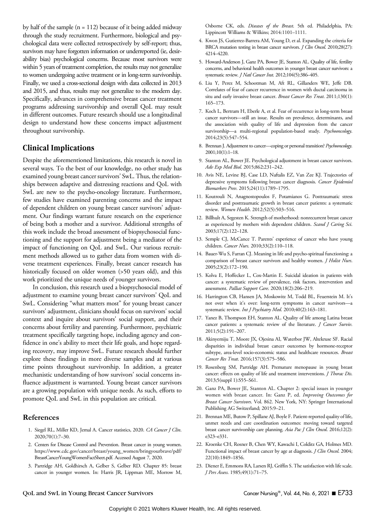by half of the sample  $(n = 112)$  because of it being added midway through the study recruitment. Furthermore, biological and psychological data were collected retrospectively by self-report; thus, survivors may have forgotten information or underreported (ie, desirability bias) psychological concerns. Because most survivors were within 5 years of treatment completion, the results may not generalize to women undergoing active treatment or in long-term survivorship. Finally, we used a cross-sectional design with data collected in 2013 and 2015, and thus, results may not generalize to the modern day. Specifically, advances in comprehensive breast cancer treatment programs addressing survivorship and overall QoL may result in different outcomes. Future research should use a longitudinal design to understand how these concerns impact adjustment throughout survivorship.

# Clinical Implications

Despite the aforementioned limitations, this research is novel in several ways. To the best of our knowledge, no other study has examined young breast cancer survivors' SwL. Thus, the relationships between adaptive and distressing reactions and QoL with SwL are new to the psycho-oncology literature. Furthermore, few studies have examined parenting concerns and the impact of dependent children on young breast cancer survivors' adjustment. Our findings warrant future research on the experience of being both a mother and a survivor. Additional strengths of this work include the broad assessment of biopsychosocial functioning and the support for adjustment being a mediator of the impact of functioning on QoL and SwL. Our various recruitment methods allowed us to gather data from women with diverse treatment experiences. Finally, breast cancer research has historically focused on older women (>50 years old), and this work prioritized the unique needs of younger survivors.

In conclusion, this research used a biopsychosocial model of adjustment to examine young breast cancer survivors' QoL and SwL. Considering "what matters most" for young breast cancer survivors' adjustment, clinicians should focus on survivors' social context and inquire about survivors' social support, and their concerns about fertility and parenting. Furthermore, psychiatric treatment specifically targeting hope, including agency and confidence in one's ability to meet their life goals, and hope regarding recovery, may improve SwL. Future research should further explore these findings in more diverse samples and at various time points throughout survivorship. In addition, a greater mechanistic understanding of how survivors' social concerns influence adjustment is warranted. Young breast cancer survivors are a growing population with unique needs. As such, efforts to promote QoL and SwL in this population are critical.

#### References

- 1. Siegel RL, Miller KD, Jemal A. Cancer statistics, 2020. CA Cancer J Clin. 2020;70(1):7–30.
- 2. Centers for Disease Control and Prevention. Breast cancer in young women. [https://www.cdc.gov/cancer/breast/young\\_women/bringyourbrave/pdf/](https://www.cdc.gov/cancer/breast/young_women/bringyourbrave/pdf/BreastCancerYoungWomenFactSheet.pdf) [BreastCancerYoungWomenFactSheet.pdf.](https://www.cdc.gov/cancer/breast/young_women/bringyourbrave/pdf/BreastCancerYoungWomenFactSheet.pdf) Accessed August 7, 2020.
- 3. Partridge AH, Goldhirsch A, Gelber S, Gelber RD. Chapter 85: breast cancer in younger women. In: Harris JR, Lippman ME, Morrow M,

Osborne CK, eds. Diseases of the Breast. 5th ed. Philadelphia, PA: Lippincott Williams & Wilkins; 2014:1101–1111.

- 4. Kwon JS, Gutierrez-Barrera AM, Young D, et al. Expanding the criteria for BRCA mutation testing in breast cancer survivors. *J Clin Oncol*. 2010;28(27): 4214–4220.
- 5. Howard-Anderson J, Ganz PA, Bower JE, Stanton AL. Quality of life, fertility concerns, and behavioral health outcomes in younger breast cancer survivors: a systematic review. *J Natl Cancer Inst*. 2012;104(5):386-405.
- 6. Liu Y, Perez M, Schootman M, Aft RL, Gillanders WE, Jeffe DB. Correlates of fear of cancer recurrence in women with ductal carcinoma in situ and early invasive breast cancer. Breast Cancer Res Treat. 2011;130(1): 165–173.
- 7. Koch L, Bertram H, Eberle A, et al. Fear of recurrence in long-term breast cancer survivors—still an issue. Results on prevalence, determinants, and the association with quality of life and depression from the cancer survivorship-a multi-regional population-based study. Psychooncology. 2014;23(5):547–554.
- 8. Brennan J. Adjustment to cancer—coping or personal transition? Psychooncology. 2001;10(1):1–18.
- 9. Stanton AL, Bower JE. Psychological adjustment in breast cancer survivors. Adv Exp Med Biol. 2015;862:231–242.
- 10. Avis NE, Levine BJ, Case LD, Naftalis EZ, Van Zee KJ. Trajectories of depressive symptoms following breast cancer diagnosis. Cancer Epidemiol Biomarkers Prev. 2015;24(11):1789–1795.
- 11. Koutrouli N, Anagnostopoulos F, Potamianos G. Posttraumatic stress disorder and posttraumatic growth in breast cancer patients: a systematic review. Women Health. 2012;52(5):503–516.
- 12. Billhult A, Segesten K. Strength of motherhood: nonrecurrent breast cancer as experienced by mothers with dependent children. Scand J Caring Sci. 2003;17(2):122–128.
- 13. Semple CJ, McCance T. Parents' experience of cancer who have young children. Cancer Nurs. 2010;33(2):110–118.
- 14. Bauer-Wu S, Farran CJ. Meaning in life and psycho-spiritual functioning: a comparison of breast cancer survivors and healthy women. *J Holist Nurs*. 2005;23(2):172–190.
- 15. Kolva E, Hoffecker L, Cox-Martin E. Suicidal ideation in patients with cancer: a systematic review of prevalence, risk factors, intervention and assessment. Palliat Support Care. 2020;18(2):206–219.
- 16. Harrington CB, Hansen JA, Moskowitz M, Todd BL, Feuerstein M. It's not over when it's over: long-term symptoms in cancer survivors—a systematic review. Int J Psychiatry Med. 2010;40(2):163-181.
- 17. Yanez B, Thompson EH, Stanton AL. Quality of life among Latina breast cancer patients: a systematic review of the literature. *J Cancer Surviv*. 2011;5(2):191–207.
- 18. Akinyemiju T, Moore JX, Ojesina AI, Waterbor JW, Altekruse SF. Racial disparities in individual breast cancer outcomes by hormone-receptor subtype, area-level socio-economic status and healthcare resources. Breast Cancer Res Treat. 2016;157(3):575–586.
- 19. Rosenberg SM, Partridge AH. Premature menopause in young breast cancer: effects on quality of life and treatment interventions. *J Thorac Dis*. 2013;5(suppl 1):S55–S61.
- 20. Ganz PA, Bower JE, Stanton AL. Chapter 2: special issues in younger women with breast cancer. In: Ganz P, ed. Improving Outcomes for Breast Cancer Survivors. Vol. 862. New York, NY: Springer International Publishing AG Switzerland; 2015:9–21.
- 21. Brennan ME, Butow P, Spillane AJ, Boyle F. Patient-reported quality of life, unmet needs and care coordination outcomes: moving toward targeted breast cancer survivorship care planning. Asia Pac J Clin Oncol. 2016;12(2): e323–e331.
- 22. Kroenke CH, Rosner B, Chen WY, Kawachi I, Colditz GA, Holmes MD. Functional impact of breast cancer by age at diagnosis. *J Clin Oncol*. 2004; 22(10):1849–1856.
- 23. Diener E, Emmons RA, Larsen RJ, Griffin S. The satisfaction with life scale. J Pers Assess. 1985;49(1):71–75.

#### QoL and SwL in Young Breast Cancer Survivors Cancer Nursing®, Vol. 44, No. 6, 2021 **E733**